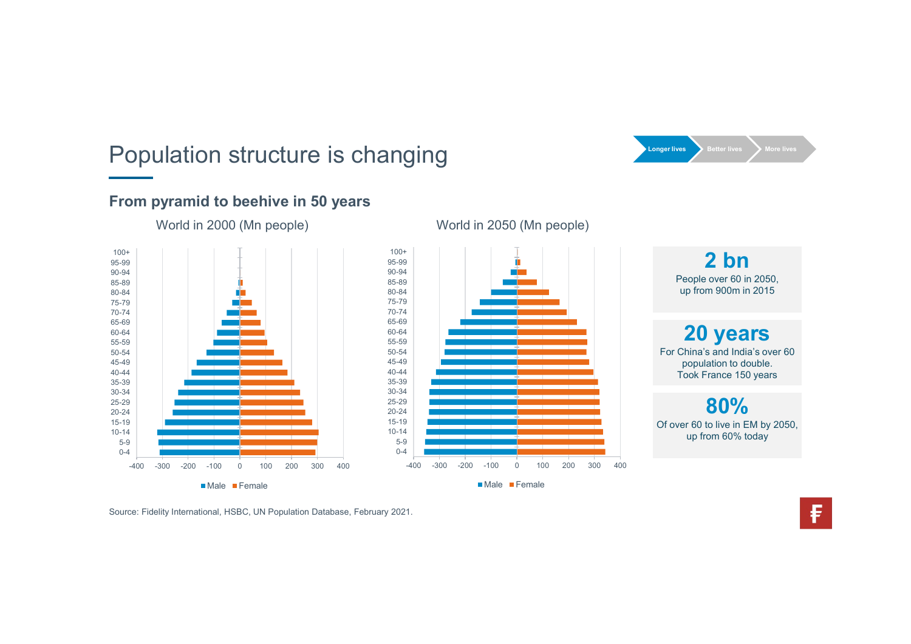# Population structure is changing Longer Ives Better lives More lives



#### From pyramid to beehive in 50 years

World in 2000 (Mn people)



#### World in 2050 (Mn people)

2 bn People over 60 in 2050, up from 900m in 2015

World in 2050 (Mn people)<br>
<br>  $\frac{1}{2}$ <br>
People over 60 in 2050,<br>
up from 900m in 2015<br>
<br>
<br>
For China's and India's over 60<br>
population to double.<br>
Took France 150 years<br>
<br>  $\frac{80\%}{400\cdot300\cdot200\cdot100\cdot00000000000000000000$ 20 years For China's and India's over 60<br>
Theople over 60 in 2050,<br>
up from 900m in 2015<br>
For China's and India's over 60<br>
population to double.<br>
Took France 150 years<br>
Subsequently accessed. FREE SECTIVES<br>
Pople over 60 in 2050,<br>
up from 900m in 2015<br> **20 years**<br>
China's and India's over 60<br>
population to double.<br>
France 150 years<br> **80%**<br>
Population to double.<br>
France 150 years<br> **80%** Fecter lives<br>
People over 60 in 2050,<br>
up from 900m in 2015<br> **20 years**<br>
China's and India's over 60<br>
population to double.<br>
Took France 150 years<br>
80%<br>
ver 60 to live in EM by 2050,<br>
up from 60% today

80% Of over 60 to live in EM by 2050, up from 60% today

Male Female

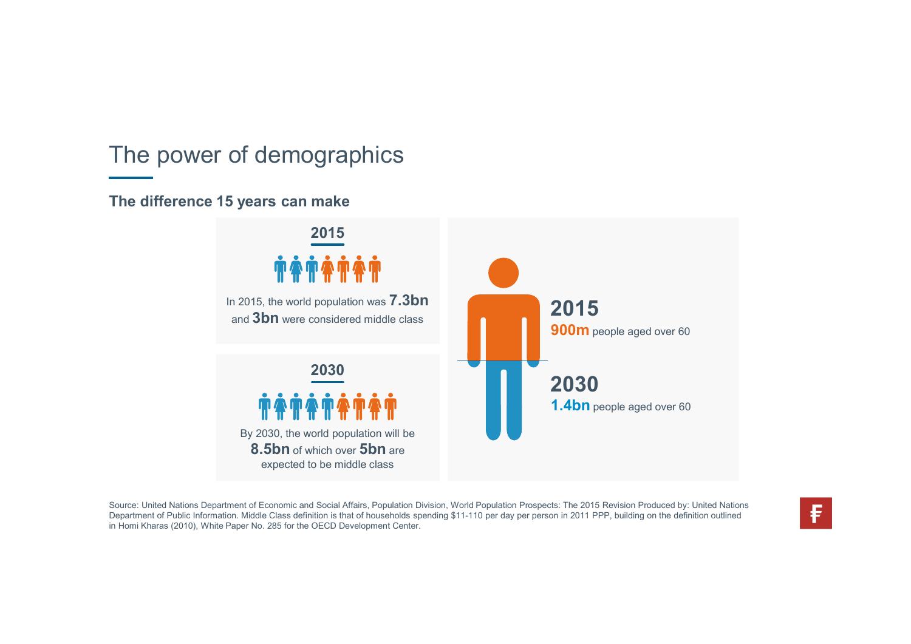### The power of demographics

#### The difference 15 years can make



Source: United Nations Department of Economic and Social Affairs, Population Division, World Population Prospects: The 2015 Revision Produced by: United Nations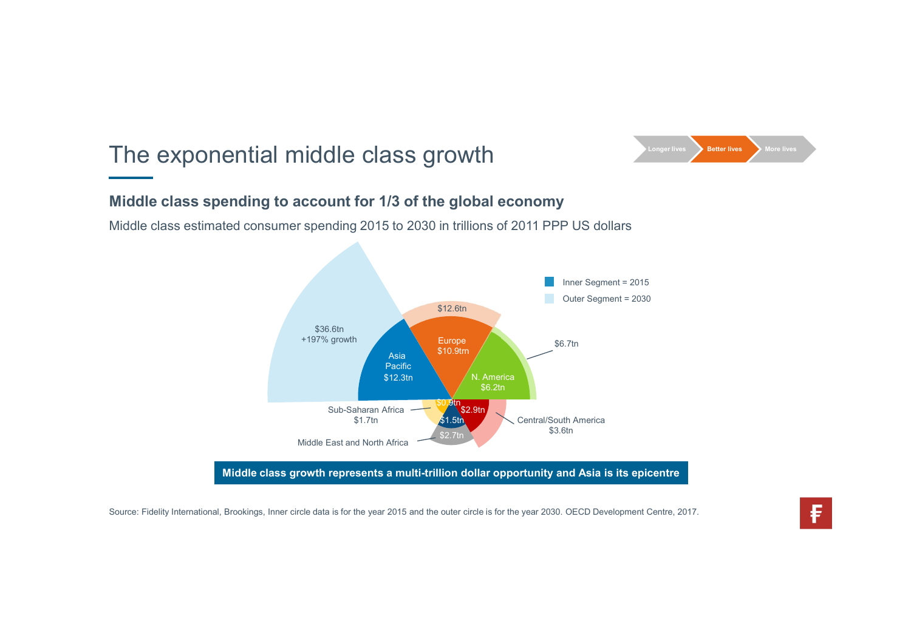## The exponential middle class growth



### Middle class spending to account for 1/3 of the global economy

Middle class estimated consumer spending 2015 to 2030 in trillions of 2011 PPP US dollars



Middle class growth represents a multi-trillion dollar opportunity and Asia is its epicentre